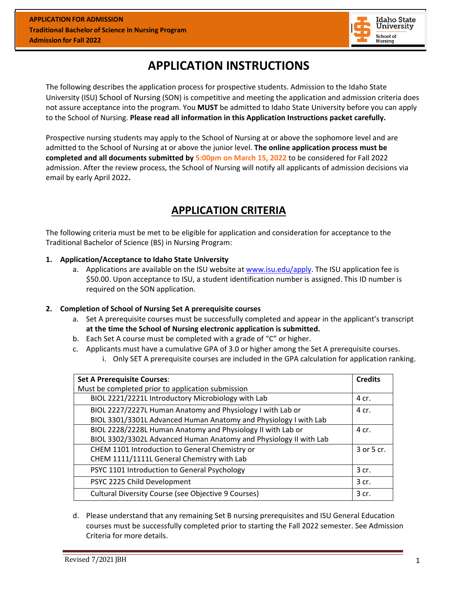

# **APPLICATION INSTRUCTIONS**

The following describes the application process for prospective students. Admission to the Idaho State University (ISU) School of Nursing (SON) is competitive and meeting the application and admission criteria does not assure acceptance into the program. You **MUST** be admitted to Idaho State University before you can apply to the School of Nursing. **Please read all information in this Application Instructions packet carefully.**

Prospective nursing students may apply to the School of Nursing at or above the sophomore level and are admitted to the School of Nursing at or above the junior level. **The online application process must be completed and all documents submitted by 5:00pm on March 15, 2022** to be considered for Fall 2022 admission. After the review process, the School of Nursing will notify all applicants of admission decisions via email by early April 2022**.**

# **APPLICATION CRITERIA**

The following criteria must be met to be eligible for application and consideration for acceptance to the Traditional Bachelor of Science (BS) in Nursing Program:

#### **1. Application/Acceptance to Idaho State University**

a. Applications are available on the ISU website at [www.isu.edu/apply.](http://www.isu.edu/apply) The ISU application fee is \$50.00. Upon acceptance to ISU, a student identification number is assigned. This ID number is required on the SON application.

## **2. Completion of School of Nursing Set A prerequisite courses**

- a. Set A prerequisite courses must be successfully completed and appear in the applicant's transcript **at the time the School of Nursing electronic application is submitted.**
- b. Each Set A course must be completed with a grade of "C" or higher.
- c. Applicants must have a cumulative GPA of 3.0 or higher among the Set A prerequisite courses.
	- i. Only SET A prerequisite courses are included in the GPA calculation for application ranking.

| <b>Set A Prerequisite Courses:</b>                                | <b>Credits</b> |
|-------------------------------------------------------------------|----------------|
| Must be completed prior to application submission                 |                |
| BIOL 2221/2221L Introductory Microbiology with Lab                | 4 cr.          |
| BIOL 2227/2227L Human Anatomy and Physiology I with Lab or        | 4 cr.          |
| BIOL 3301/3301L Advanced Human Anatomy and Physiology I with Lab  |                |
| BIOL 2228/2228L Human Anatomy and Physiology II with Lab or       | 4 cr.          |
| BIOL 3302/3302L Advanced Human Anatomy and Physiology II with Lab |                |
| CHEM 1101 Introduction to General Chemistry or                    | 3 or 5 cr.     |
| CHEM 1111/1111L General Chemistry with Lab                        |                |
| PSYC 1101 Introduction to General Psychology                      | 3 cr.          |
| PSYC 2225 Child Development                                       | 3 cr.          |
| Cultural Diversity Course (see Objective 9 Courses)               | 3 cr.          |

d. Please understand that any remaining Set B nursing prerequisites and ISU General Education courses must be successfully completed prior to starting the Fall 2022 semester. See Admission Criteria for more details.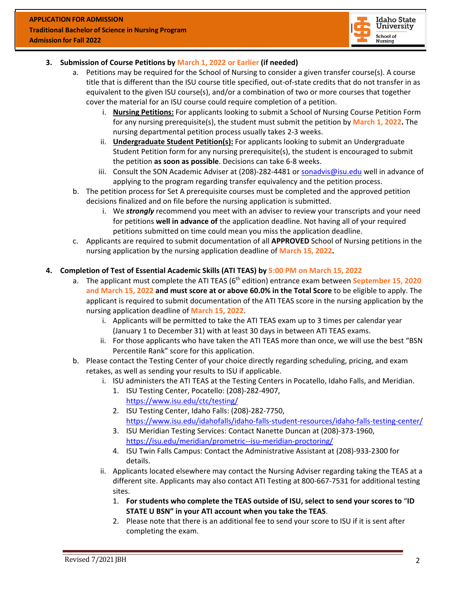

## **3. Submission of Course Petitions by March 1, 2022 or Earlier (if needed)**

- a. Petitions may be required for the School of Nursing to consider a given transfer course(s). A course title that is different than the ISU course title specified, out-of-state credits that do not transfer in as equivalent to the given ISU course(s), and/or a combination of two or more courses that together cover the material for an ISU course could require completion of a petition.
	- i. **Nursing Petitions:** For applicants looking to submit a School of Nursing Course Petition Form for any nursing prerequisite(s), the student must submit the petition by **March 1, 2022.** The nursing departmental petition process usually takes 2-3 weeks.
	- ii. **Undergraduate Student Petition(s):** For applicants looking to submit an Undergraduate Student Petition form for any nursing prerequisite(s), the student is encouraged to submit the petition **as soon as possible**. Decisions can take 6-8 weeks.
	- iii. Consult the SON Academic Adviser at (208)-282-4481 or [sonadvis@isu.edu](mailto:conadvis@isu.edu) well in advance of applying to the program regarding transfer equivalency and the petition process.
- b. The petition process for Set A prerequisite courses must be completed and the approved petition decisions finalized and on file before the nursing application is submitted.
	- i. We *strongly* recommend you meet with an adviser to review your transcripts and your need for petitions **well in advance of** the application deadline. Not having all of your required petitions submitted on time could mean you miss the application deadline.
- c. Applicants are required to submit documentation of all **APPROVED** School of Nursing petitions in the nursing application by the nursing application deadline of **March 15, 2022.**

## **4. Completion of Test of Essential Academic Skills (ATI TEAS) by 5:00 PM on March 15, 2022**

- a. The applicant must complete the ATI TEAS (6<sup>th</sup> edition) entrance exam between September 15, 2020 **and March 15, 2022 and must score at or above 60.0% in the Total Score** to be eligible to apply. The applicant is required to submit documentation of the ATI TEAS score in the nursing application by the nursing application deadline of **March 15, 2022**.
	- i. Applicants will be permitted to take the ATI TEAS exam up to 3 times per calendar year (January 1 to December 31) with at least 30 days in between ATI TEAS exams.
	- ii. For those applicants who have taken the ATI TEAS more than once, we will use the best "BSN Percentile Rank" score for this application.
- b. Please contact the Testing Center of your choice directly regarding scheduling, pricing, and exam retakes, as well as sending your results to ISU if applicable.
	- i. ISU administers the ATI TEAS at the Testing Centers in Pocatello, Idaho Falls, and Meridian.
		- 1. ISU Testing Center, Pocatello: (208)-282-4907, <https://www.isu.edu/ctc/testing/>
		- 2. ISU Testing Center, Idaho Falls: (208)-282-7750, <https://www.isu.edu/idahofalls/idaho-falls-student-resources/idaho-falls-testing-center/>
		- 3. ISU Meridian Testing Services: Contact Nanette Duncan at (208)-373-1960, <https://isu.edu/meridian/prometric--isu-meridian-proctoring/>
		- 4. ISU Twin Falls Campus: Contact the Administrative Assistant at (208)-933-2300 for details.
	- ii. Applicants located elsewhere may contact the Nursing Adviser regarding taking the TEAS at a different site. Applicants may also contact ATI Testing at 800-667-7531 for additional testing sites.
		- 1. **For students who complete the TEAS outside of ISU, select to send your scores to** "**ID STATE U BSN" in your ATI account when you take the TEAS**.
		- 2. Please note that there is an additional fee to send your score to ISU if it is sent after completing the exam.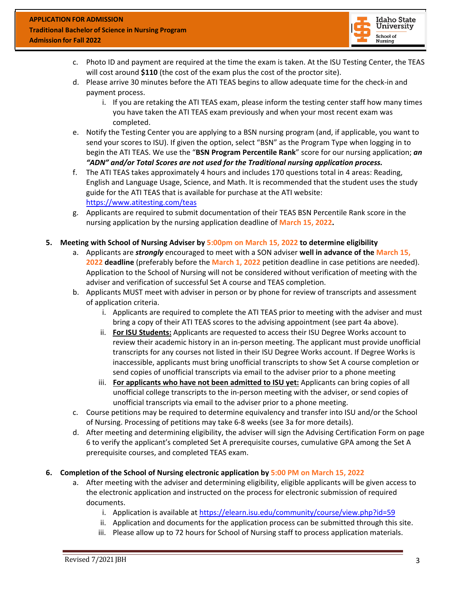

- c. Photo ID and payment are required at the time the exam is taken. At the ISU Testing Center, the TEAS will cost around **\$110** (the cost of the exam plus the cost of the proctor site).
- d. Please arrive 30 minutes before the ATI TEAS begins to allow adequate time for the check-in and payment process.
	- i. If you are retaking the ATI TEAS exam, please inform the testing center staff how many times you have taken the ATI TEAS exam previously and when your most recent exam was completed.
- e. Notify the Testing Center you are applying to a BSN nursing program (and, if applicable, you want to send your scores to ISU). If given the option, select "BSN" as the Program Type when logging in to begin the ATI TEAS. We use the "**BSN Program Percentile Rank**" score for our nursing application; *an "ADN" and/or Total Scores are not used for the Traditional nursing application process.*
- f. The ATI TEAS takes approximately 4 hours and includes 170 questions total in 4 areas: Reading, English and Language Usage, Science, and Math. It is recommended that the student uses the study guide for the ATI TEAS that is available for purchase at the ATI website: <https://www.atitesting.com/teas>
- g. Applicants are required to submit documentation of their TEAS BSN Percentile Rank score in the nursing application by the nursing application deadline of **March 15, 2022.**

## **5. Meeting with School of Nursing Adviser by 5:00pm on March 15, 2022 to determine eligibility**

- a. Applicants are *strongly* encouraged to meet with a SON adviser **well in advance of the March 15, 2022 deadline** (preferably before the **March 1, 2022** petition deadline in case petitions are needed). Application to the School of Nursing will not be considered without verification of meeting with the adviser and verification of successful Set A course and TEAS completion.
- b. Applicants MUST meet with adviser in person or by phone for review of transcripts and assessment of application criteria.
	- i. Applicants are required to complete the ATI TEAS prior to meeting with the adviser and must bring a copy of their ATI TEAS scores to the advising appointment (see part 4a above).
	- ii. **For ISU Students:** Applicants are requested to access their ISU Degree Works account to review their academic history in an in-person meeting. The applicant must provide unofficial transcripts for any courses not listed in their ISU Degree Works account. If Degree Works is inaccessible, applicants must bring unofficial transcripts to show Set A course completion or send copies of unofficial transcripts via email to the adviser prior to a phone meeting
	- iii. **For applicants who have not been admitted to ISU yet:** Applicants can bring copies of all unofficial college transcripts to the in-person meeting with the adviser, or send copies of unofficial transcripts via email to the adviser prior to a phone meeting.
- c. Course petitions may be required to determine equivalency and transfer into ISU and/or the School of Nursing. Processing of petitions may take 6-8 weeks (see 3a for more details).
- d. After meeting and determining eligibility, the adviser will sign the Advising Certification Form on page 6 to verify the applicant's completed Set A prerequisite courses, cumulative GPA among the Set A prerequisite courses, and completed TEAS exam.

## **6. Completion of the School of Nursing electronic application by 5:00 PM on March 15, 2022**

- a. After meeting with the adviser and determining eligibility, eligible applicants will be given access to the electronic application and instructed on the process for electronic submission of required documents.
	- i. Application is available at<https://elearn.isu.edu/community/course/view.php?id=59>
	- ii. Application and documents for the application process can be submitted through this site.
	- iii. Please allow up to 72 hours for School of Nursing staff to process application materials.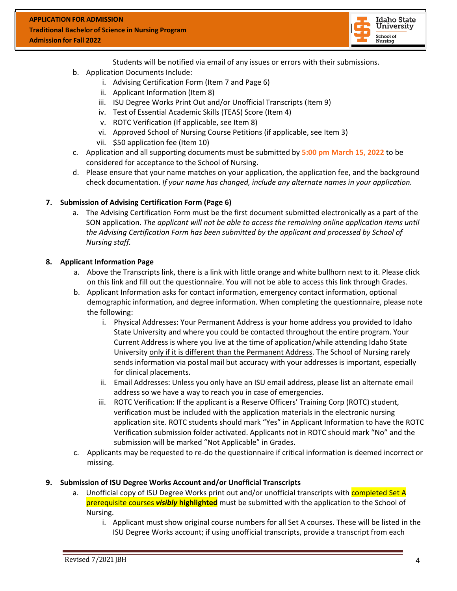

Students will be notified via email of any issues or errors with their submissions.

- b. Application Documents Include:
	- i. Advising Certification Form (Item 7 and Page 6)
	- ii. Applicant Information (Item 8)
	- iii. ISU Degree Works Print Out and/or Unofficial Transcripts (Item 9)
	- iv. Test of Essential Academic Skills (TEAS) Score (Item 4)
	- v. ROTC Verification (If applicable, see Item 8)
	- vi. Approved School of Nursing Course Petitions (if applicable, see Item 3)
	- vii. \$50 application fee (Item 10)
- c. Application and all supporting documents must be submitted by **5:00 pm March 15, 2022** to be considered for acceptance to the School of Nursing.
- d. Please ensure that your name matches on your application, the application fee, and the background check documentation. *If your name has changed, include any alternate names in your application.*

#### **7. Submission of Advising Certification Form (Page 6)**

a. The Advising Certification Form must be the first document submitted electronically as a part of the SON application. *The applicant will not be able to access the remaining online application items until the Advising Certification Form has been submitted by the applicant and processed by School of Nursing staff.*

#### **8. Applicant Information Page**

- a. Above the Transcripts link, there is a link with little orange and white bullhorn next to it. Please click on this link and fill out the questionnaire. You will not be able to access this link through Grades.
- b. Applicant Information asks for contact information, emergency contact information, optional demographic information, and degree information. When completing the questionnaire, please note the following:
	- i. Physical Addresses: Your Permanent Address is your home address you provided to Idaho State University and where you could be contacted throughout the entire program. Your Current Address is where you live at the time of application/while attending Idaho State University only if it is different than the Permanent Address. The School of Nursing rarely sends information via postal mail but accuracy with your addresses is important, especially for clinical placements.
	- ii. Email Addresses: Unless you only have an ISU email address, please list an alternate email address so we have a way to reach you in case of emergencies.
	- iii. ROTC Verification: If the applicant is a Reserve Officers' Training Corp (ROTC) student, verification must be included with the application materials in the electronic nursing application site. ROTC students should mark "Yes" in Applicant Information to have the ROTC Verification submission folder activated. Applicants not in ROTC should mark "No" and the submission will be marked "Not Applicable" in Grades.
- c. Applicants may be requested to re-do the questionnaire if critical information is deemed incorrect or missing.

#### **9. Submission of ISU Degree Works Account and/or Unofficial Transcripts**

- a. Unofficial copy of ISU Degree Works print out and/or unofficial transcripts with completed Set A prerequisite courses *visibly* **highlighted** must be submitted with the application to the School of Nursing.
	- i. Applicant must show original course numbers for all Set A courses. These will be listed in the ISU Degree Works account; if using unofficial transcripts, provide a transcript from each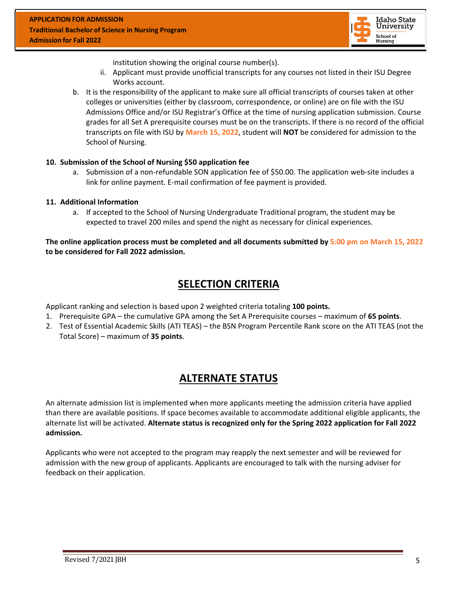

institution showing the original course number(s).

- ii. Applicant must provide unofficial transcripts for any courses not listed in their ISU Degree Works account.
- b. It is the responsibility of the applicant to make sure all official transcripts of courses taken at other colleges or universities (either by classroom, correspondence, or online) are on file with the ISU Admissions Office and/or ISU Registrar's Office at the time of nursing application submission. Course grades for all Set A prerequisite courses must be on the transcripts. If there is no record of the official transcripts on file with ISU by **March 15, 2022**, student will **NOT** be considered for admission to the School of Nursing.

#### **10. Submission of the School of Nursing \$50 application fee**

a. Submission of a non-refundable SON application fee of \$50.00. The application web-site includes a link for online payment. E-mail confirmation of fee payment is provided.

#### **11. Additional Information**

a. If accepted to the School of Nursing Undergraduate Traditional program, the student may be expected to travel 200 miles and spend the night as necessary for clinical experiences.

**The online application process must be completed and all documents submitted by 5:00 pm on March 15, 2022 to be considered for Fall 2022 admission.**

# **SELECTION CRITERIA**

Applicant ranking and selection is based upon 2 weighted criteria totaling **100 points.**

- 1. Prerequisite GPA the cumulative GPA among the Set A Prerequisite courses maximum of **65 points**.
- 2. Test of Essential Academic Skills (ATI TEAS) the BSN Program Percentile Rank score on the ATI TEAS (not the Total Score) – maximum of **35 points**.

# **ALTERNATE STATUS**

An alternate admission list is implemented when more applicants meeting the admission criteria have applied than there are available positions. If space becomes available to accommodate additional eligible applicants, the alternate list will be activated. **Alternate status is recognized only for the Spring 2022 application for Fall 2022 admission.**

Applicants who were not accepted to the program may reapply the next semester and will be reviewed for admission with the new group of applicants. Applicants are encouraged to talk with the nursing adviser for feedback on their application.